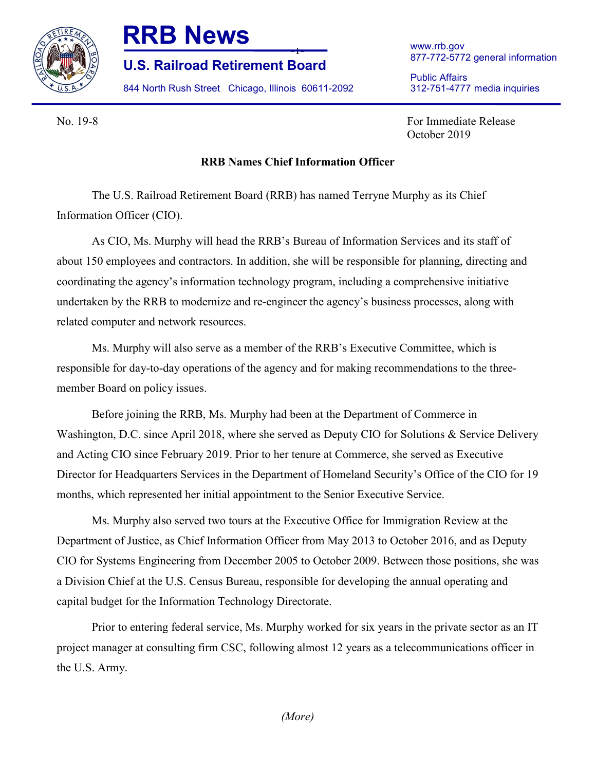

## **RRB News**

**U.S. Railroad Retirement Board**

844 North Rush Street Chicago, Illinois 60611-2092

www.rrb.gov 877-772-5772 general information

Public Affairs 312-751-4777 media inquiries

No. 19-8 For Immediate Release October 2019

## **RRB Names Chief Information Officer**

-1-

The U.S. Railroad Retirement Board (RRB) has named Terryne Murphy as its Chief Information Officer (CIO).

As CIO, Ms. Murphy will head the RRB's Bureau of Information Services and its staff of about 150 employees and contractors. In addition, she will be responsible for planning, directing and coordinating the agency's information technology program, including a comprehensive initiative undertaken by the RRB to modernize and re-engineer the agency's business processes, along with related computer and network resources.

Ms. Murphy will also serve as a member of the RRB's Executive Committee, which is responsible for day-to-day operations of the agency and for making recommendations to the threemember Board on policy issues.

Before joining the RRB, Ms. Murphy had been at the Department of Commerce in Washington, D.C. since April 2018, where she served as Deputy CIO for Solutions & Service Delivery and Acting CIO since February 2019. Prior to her tenure at Commerce, she served as Executive Director for Headquarters Services in the Department of Homeland Security's Office of the CIO for 19 months, which represented her initial appointment to the Senior Executive Service.

Ms. Murphy also served two tours at the Executive Office for Immigration Review at the Department of Justice, as Chief Information Officer from May 2013 to October 2016, and as Deputy CIO for Systems Engineering from December 2005 to October 2009. Between those positions, she was a Division Chief at the U.S. Census Bureau, responsible for developing the annual operating and capital budget for the Information Technology Directorate.

Prior to entering federal service, Ms. Murphy worked for six years in the private sector as an IT project manager at consulting firm CSC, following almost 12 years as a telecommunications officer in the U.S. Army.